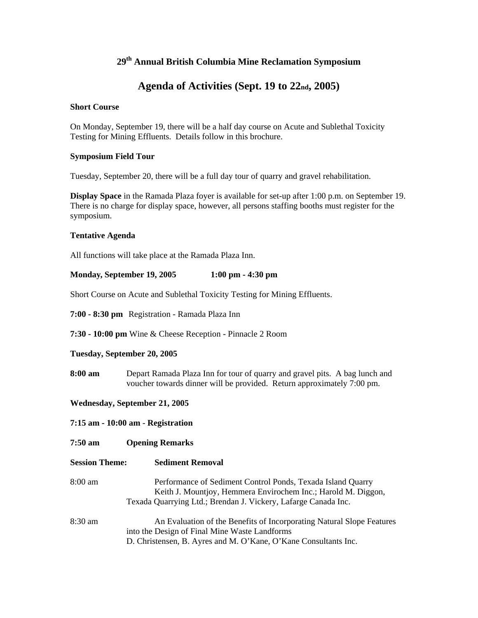# **29th Annual British Columbia Mine Reclamation Symposium**

# **Agenda of Activities (Sept. 19 to 22nd, 2005)**

### **Short Course**

On Monday, September 19, there will be a half day course on Acute and Sublethal Toxicity Testing for Mining Effluents. Details follow in this brochure.

#### **Symposium Field Tour**

Tuesday, September 20, there will be a full day tour of quarry and gravel rehabilitation.

**Display Space** in the Ramada Plaza foyer is available for set-up after 1:00 p.m. on September 19. There is no charge for display space, however, all persons staffing booths must register for the symposium.

#### **Tentative Agenda**

All functions will take place at the Ramada Plaza Inn.

### **Monday, September 19, 2005 1:00 pm - 4:30 pm**

Short Course on Acute and Sublethal Toxicity Testing for Mining Effluents.

**7:00 - 8:30 pm** Registration - Ramada Plaza Inn

**7:30 - 10:00 pm** Wine & Cheese Reception - Pinnacle 2 Room

#### **Tuesday, September 20, 2005**

**8:00 am** Depart Ramada Plaza Inn for tour of quarry and gravel pits. A bag lunch and voucher towards dinner will be provided. Return approximately 7:00 pm.

**Wednesday, September 21, 2005** 

**7:15 am - 10:00 am** - **Registration** 

- **7:50 am Opening Remarks**
- **Session Theme: Sediment Removal**  8:00 amPerformance of Sediment Control Ponds, Texada Island Quarry Keith J. Mountjoy, Hemmera Envirochem Inc.; Harold M. Diggon, Texada Quarrying Ltd.; Brendan J. Vickery, Lafarge Canada Inc. 8:30 am An Evaluation of the Benefits of Incorporating Natural Slope Features into the Design of Final Mine Waste Landforms D. Christensen, B. Ayres and M. O'Kane, O'Kane Consultants Inc.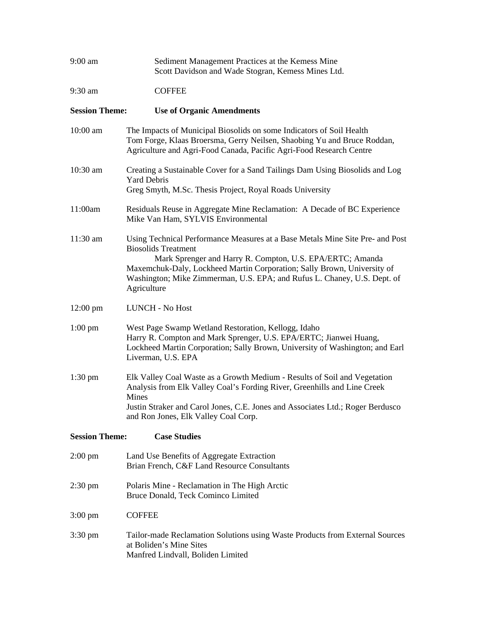| 9:00 am                                      | Sediment Management Practices at the Kemess Mine<br>Scott Davidson and Wade Stogran, Kemess Mines Ltd.                                                                                                                                                                                                                                         |  |
|----------------------------------------------|------------------------------------------------------------------------------------------------------------------------------------------------------------------------------------------------------------------------------------------------------------------------------------------------------------------------------------------------|--|
| 9:30 am                                      | <b>COFFEE</b>                                                                                                                                                                                                                                                                                                                                  |  |
| <b>Session Theme:</b>                        | <b>Use of Organic Amendments</b>                                                                                                                                                                                                                                                                                                               |  |
| $10:00$ am                                   | The Impacts of Municipal Biosolids on some Indicators of Soil Health<br>Tom Forge, Klaas Broersma, Gerry Neilsen, Shaobing Yu and Bruce Roddan,<br>Agriculture and Agri-Food Canada, Pacific Agri-Food Research Centre                                                                                                                         |  |
| 10:30 am                                     | Creating a Sustainable Cover for a Sand Tailings Dam Using Biosolids and Log<br><b>Yard Debris</b><br>Greg Smyth, M.Sc. Thesis Project, Royal Roads University                                                                                                                                                                                 |  |
|                                              |                                                                                                                                                                                                                                                                                                                                                |  |
| 11:00am                                      | Residuals Reuse in Aggregate Mine Reclamation: A Decade of BC Experience<br>Mike Van Ham, SYLVIS Environmental                                                                                                                                                                                                                                 |  |
| 11:30 am                                     | Using Technical Performance Measures at a Base Metals Mine Site Pre- and Post<br><b>Biosolids Treatment</b><br>Mark Sprenger and Harry R. Compton, U.S. EPA/ERTC; Amanda<br>Maxemchuk-Daly, Lockheed Martin Corporation; Sally Brown, University of<br>Washington; Mike Zimmerman, U.S. EPA; and Rufus L. Chaney, U.S. Dept. of<br>Agriculture |  |
| $12:00 \text{ pm}$                           | <b>LUNCH - No Host</b>                                                                                                                                                                                                                                                                                                                         |  |
| $1:00 \text{ pm}$                            | West Page Swamp Wetland Restoration, Kellogg, Idaho<br>Harry R. Compton and Mark Sprenger, U.S. EPA/ERTC; Jianwei Huang,<br>Lockheed Martin Corporation; Sally Brown, University of Washington; and Earl<br>Liverman, U.S. EPA                                                                                                                 |  |
| $1:30$ pm                                    | Elk Valley Coal Waste as a Growth Medium - Results of Soil and Vegetation<br>Analysis from Elk Valley Coal's Fording River, Greenhills and Line Creek<br>Mines<br>Justin Straker and Carol Jones, C.E. Jones and Associates Ltd.; Roger Berdusco<br>and Ron Jones, Elk Valley Coal Corp.                                                       |  |
| <b>Session Theme:</b><br><b>Case Studies</b> |                                                                                                                                                                                                                                                                                                                                                |  |
| $2:00 \text{ pm}$                            | Land Use Benefits of Aggregate Extraction<br>Brian French, C&F Land Resource Consultants                                                                                                                                                                                                                                                       |  |
| $2:30 \text{ pm}$                            | Polaris Mine - Reclamation in The High Arctic<br>Bruce Donald, Teck Cominco Limited                                                                                                                                                                                                                                                            |  |
| $3:00 \text{ pm}$                            | <b>COFFEE</b>                                                                                                                                                                                                                                                                                                                                  |  |
| $3:30 \text{ pm}$                            | Tailor-made Reclamation Solutions using Waste Products from External Sources<br>at Boliden's Mine Sites<br>Manfred Lindvall, Boliden Limited                                                                                                                                                                                                   |  |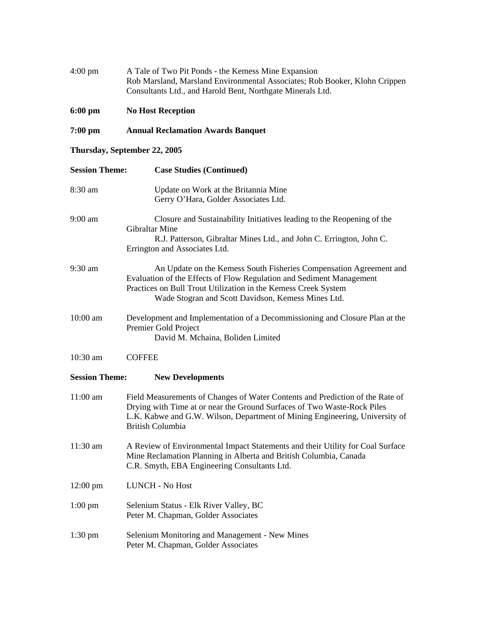| $4:00 \text{ pm}$     | A Tale of Two Pit Ponds - the Kemess Mine Expansion<br>Rob Marsland, Marsland Environmental Associates; Rob Booker, Klohn Crippen<br>Consultants Ltd., and Harold Bent, Northgate Minerals Ltd.                                                                    |  |
|-----------------------|--------------------------------------------------------------------------------------------------------------------------------------------------------------------------------------------------------------------------------------------------------------------|--|
| $6:00$ pm             | <b>No Host Reception</b>                                                                                                                                                                                                                                           |  |
| 7:00 pm               | <b>Annual Reclamation Awards Banquet</b>                                                                                                                                                                                                                           |  |
|                       | Thursday, September 22, 2005                                                                                                                                                                                                                                       |  |
| <b>Session Theme:</b> | <b>Case Studies (Continued)</b>                                                                                                                                                                                                                                    |  |
| 8:30 am               | Update on Work at the Britannia Mine<br>Gerry O'Hara, Golder Associates Ltd.                                                                                                                                                                                       |  |
| 9:00 am               | Closure and Sustainability Initiatives leading to the Reopening of the<br><b>Gibraltar Mine</b><br>R.J. Patterson, Gibraltar Mines Ltd., and John C. Errington, John C.<br>Errington and Associates Ltd.                                                           |  |
| 9:30 am               | An Update on the Kemess South Fisheries Compensation Agreement and<br>Evaluation of the Effects of Flow Regulation and Sediment Management<br>Practices on Bull Trout Utilization in the Kemess Creek System<br>Wade Stogran and Scott Davidson, Kemess Mines Ltd. |  |
| 10:00 am              | Development and Implementation of a Decommissioning and Closure Plan at the<br>Premier Gold Project<br>David M. Mchaina, Boliden Limited                                                                                                                           |  |
| $10:30$ am            | <b>COFFEE</b>                                                                                                                                                                                                                                                      |  |
| <b>Session Theme:</b> | <b>New Developments</b>                                                                                                                                                                                                                                            |  |
| 11:00 am              | Field Measurements of Changes of Water Contents and Prediction of the Rate of<br>Drying with Time at or near the Ground Surfaces of Two Waste-Rock Piles<br>L.K. Kabwe and G.W. Wilson, Department of Mining Engineering, University of<br><b>British Columbia</b> |  |
| 11:30 am              | A Review of Environmental Impact Statements and their Utility for Coal Surface<br>Mine Reclamation Planning in Alberta and British Columbia, Canada<br>C.R. Smyth, EBA Engineering Consultants Ltd.                                                                |  |
| $12:00$ pm            | LUNCH - No Host                                                                                                                                                                                                                                                    |  |
| $1:00$ pm             | Selenium Status - Elk River Valley, BC<br>Peter M. Chapman, Golder Associates                                                                                                                                                                                      |  |
| $1:30 \text{ pm}$     | Selenium Monitoring and Management - New Mines<br>Peter M. Chapman, Golder Associates                                                                                                                                                                              |  |